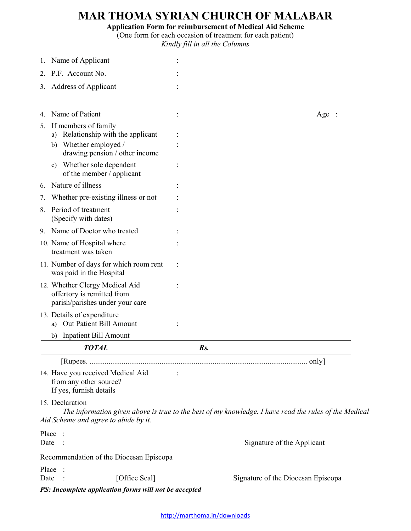## **MAR THOMA SYRIAN CHURCH OF MALABAR**

**Application Form for reimbursement of Medical Aid Scheme** 

(One form for each occasion of treatment for each patient) *Kindly fill in all the Columns* 

| Name of Applicant                                                                               |     |                                                                                                       |
|-------------------------------------------------------------------------------------------------|-----|-------------------------------------------------------------------------------------------------------|
| P.F. Account No.<br>2.                                                                          |     |                                                                                                       |
| <b>Address of Applicant</b><br>3.                                                               |     |                                                                                                       |
|                                                                                                 |     |                                                                                                       |
| Name of Patient                                                                                 |     | Age:                                                                                                  |
| If members of family<br>5.                                                                      |     |                                                                                                       |
| Relationship with the applicant<br>a)                                                           |     |                                                                                                       |
| Whether employed /<br>b)<br>drawing pension / other income                                      |     |                                                                                                       |
| Whether sole dependent<br>C)                                                                    |     |                                                                                                       |
| of the member / applicant                                                                       |     |                                                                                                       |
| Nature of illness<br>6.                                                                         |     |                                                                                                       |
| Whether pre-existing illness or not<br>7.                                                       |     |                                                                                                       |
| Period of treatment<br>8.<br>(Specify with dates)                                               |     |                                                                                                       |
| Name of Doctor who treated<br>9.                                                                |     |                                                                                                       |
| 10. Name of Hospital where<br>treatment was taken                                               |     |                                                                                                       |
| 11. Number of days for which room rent<br>was paid in the Hospital                              |     |                                                                                                       |
| 12. Whether Clergy Medical Aid<br>offertory is remitted from<br>parish/parishes under your care |     |                                                                                                       |
| 13. Details of expenditure<br>Out Patient Bill Amount<br>a)                                     |     |                                                                                                       |
| Inpatient Bill Amount<br>b)                                                                     |     |                                                                                                       |
| <b>TOTAL</b>                                                                                    | Rs. |                                                                                                       |
|                                                                                                 |     |                                                                                                       |
| 14. Have you received Medical Aid<br>from any other source?<br>If yes, furnish details          |     |                                                                                                       |
| 15. Declaration                                                                                 |     |                                                                                                       |
| Aid Scheme and agree to abide by it.                                                            |     | The information given above is true to the best of my knowledge. I have read the rules of the Medical |
| Place                                                                                           |     |                                                                                                       |
| Date                                                                                            |     | Signature of the Applicant                                                                            |
| Recommendation of the Diocesan Episcopa                                                         |     |                                                                                                       |
| Place                                                                                           |     |                                                                                                       |
| [Office Seal]<br>Date<br>PS: Incomplete application forms will not be accepted                  |     | Signature of the Diocesan Episcopa                                                                    |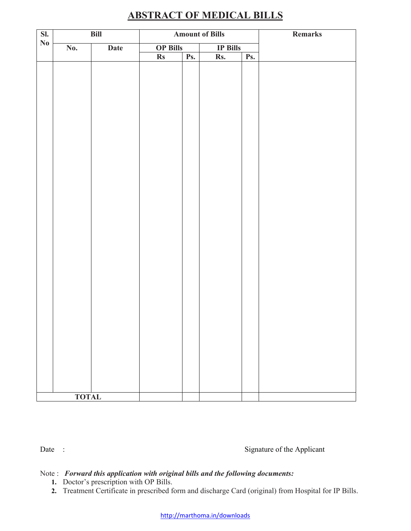| SI.<br>Bill            |              | <b>Amount of Bills</b> |                 |     | Remarks         |     |  |
|------------------------|--------------|------------------------|-----------------|-----|-----------------|-----|--|
| $\mathbf{N}\mathbf{0}$ | No.          | Date                   | <b>OP Bills</b> |     | <b>IP Bills</b> |     |  |
|                        |              |                        | $\mathbf{R}s$   | Ps. | Rs.             | Ps. |  |
|                        |              |                        |                 |     |                 |     |  |
|                        |              |                        |                 |     |                 |     |  |
|                        |              |                        |                 |     |                 |     |  |
|                        |              |                        |                 |     |                 |     |  |
|                        |              |                        |                 |     |                 |     |  |
|                        |              |                        |                 |     |                 |     |  |
|                        |              |                        |                 |     |                 |     |  |
|                        |              |                        |                 |     |                 |     |  |
|                        |              |                        |                 |     |                 |     |  |
|                        |              |                        |                 |     |                 |     |  |
|                        |              |                        |                 |     |                 |     |  |
|                        |              |                        |                 |     |                 |     |  |
|                        |              |                        |                 |     |                 |     |  |
|                        |              |                        |                 |     |                 |     |  |
|                        |              |                        |                 |     |                 |     |  |
|                        |              |                        |                 |     |                 |     |  |
|                        |              |                        |                 |     |                 |     |  |
|                        |              |                        |                 |     |                 |     |  |
|                        |              |                        |                 |     |                 |     |  |
|                        |              |                        |                 |     |                 |     |  |
|                        |              |                        |                 |     |                 |     |  |
|                        |              |                        |                 |     |                 |     |  |
|                        |              |                        |                 |     |                 |     |  |
|                        |              |                        |                 |     |                 |     |  |
|                        |              |                        |                 |     |                 |     |  |
|                        |              |                        |                 |     |                 |     |  |
|                        |              |                        |                 |     |                 |     |  |
|                        |              |                        |                 |     |                 |     |  |
|                        |              |                        |                 |     |                 |     |  |
|                        |              |                        |                 |     |                 |     |  |
|                        |              |                        |                 |     |                 |     |  |
|                        | <b>TOTAL</b> |                        |                 |     |                 |     |  |

## **ABSTRACT OF MEDICAL BILLS**

Date : Signature of the Applicant

## Note : *Forward this application with original bills and the following documents:*

- **1.** Doctor's prescription with OP Bills.
- **2.** Treatment Certificate in prescribed form and discharge Card (original) from Hospital for IP Bills.